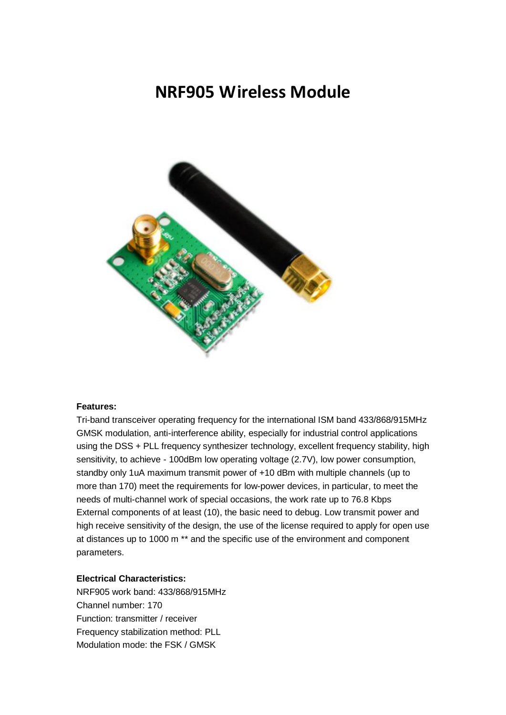## **[NRF905 Wireless Module](https://www.electronicaembajadores.com/es/Productos/Detalle/LCNRL08/modulos-electronicos/nrf24l01/diy-mcu-nrf905-gfsk-transceptor-433mhz-con-antena)**



## **Features:**

Tri-band transceiver operating frequency for the international ISM band 433/868/915MHz GMSK modulation, anti-interference ability, especially for industrial control applications using the DSS + PLL frequency synthesizer technology, excellent frequency stability, high sensitivity, to achieve - 100dBm low operating voltage (2.7V), low power consumption, standby only 1uA maximum transmit power of +10 dBm with multiple channels (up to more than 170) meet the requirements for low-power devices, in particular, to meet the needs of multi-channel work of special occasions, the work rate up to 76.8 Kbps External components of at least (10), the basic need to debug. Low transmit power and high receive sensitivity of the design, the use of the license required to apply for open use at distances up to 1000 m \*\* and the specific use of the environment and component parameters.

## **Electrical Characteristics:**

NRF905 work band: 433/868/915MHz Channel number: 170 Function: transmitter / receiver Frequency stabilization method: PLL Modulation mode: the FSK / GMSK